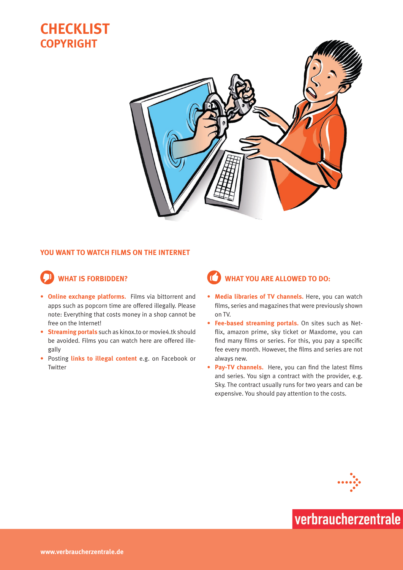



#### **You want to watch films on the Internet**

### **What is forbidden?**

- **• Online exchange platforms.** Films via bittorrent and apps such as popcorn time are offered illegally. Please note: Everything that costs money in a shop cannot be free on the Internet!
- **• Streaming portals** such as kinox.to or movie4.tk should be avoided. Films you can watch here are offered illegally
- Posting **links to illegal content** e.g. on Facebook or Twitter

### **What you are allowed to do:**

- **• Media libraries of TV channels.** Here, you can watch films, series and magazines that were previously shown on TV.
- **• Fee-based streaming portals.** On sites such as Netflix, amazon prime, sky ticket or Maxdome, you can find many films or series. For this, you pay a specific fee every month. However, the films and series are not always new.
- **• Pay-TV channels.** Here, you can find the latest films and series. You sign a contract with the provider, e.g. Sky. The contract usually runs for two years and can be expensive. You should pay attention to the costs.